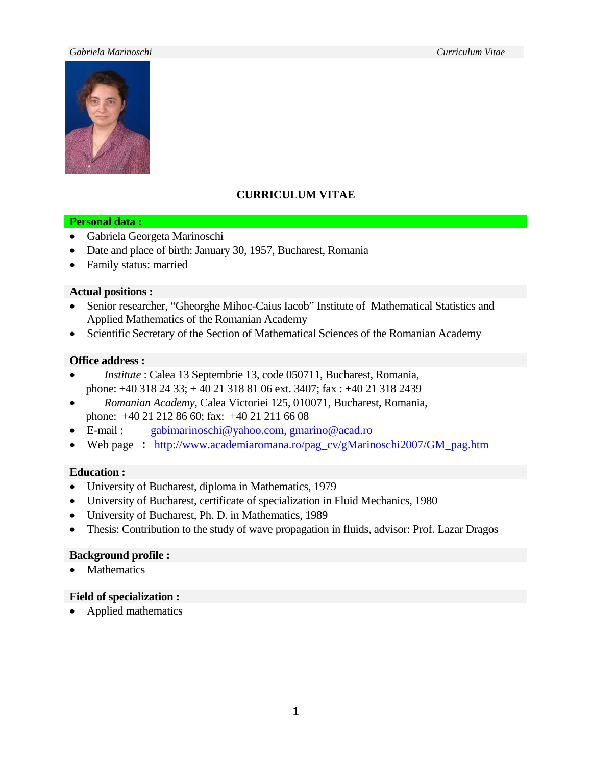#### *Gabriela Marinoschi Curriculum Vitae*



# **CURRICULUM VITAE**

#### **Personal data :**

- Gabriela Georgeta Marinoschi
- Date and place of birth: January 30, 1957, Bucharest, Romania
- Family status: married

### **Actual positions :**

- Senior researcher, "Gheorghe Mihoc-Caius Iacob" Institute of Mathematical Statistics and Applied Mathematics of the Romanian Academy
- Scientific Secretary of the Section of Mathematical Sciences of the Romanian Academy

#### **Office address :**

- *Institute* : Calea 13 Septembrie 13, code 050711, Bucharest, Romania, phone: +40 318 24 33; + 40 21 318 81 06 ext. 3407; fax : +40 21 318 2439
- *Romanian Academy*, Calea Victoriei 125, 010071, Bucharest, Romania, phone: +40 21 212 86 60; fax: +40 21 211 66 08
- E-mail : [gabimarinoschi@yahoo.com,](mailto:gabimarinoschi@yahoo.com) [gmarino@acad.ro](mailto:gmarino@aix.acad.ro)
- Web page : [http://www.academiaromana.ro/pag\\_cv/gMarinoschi2007/GM\\_pag.htm](http://www.academiaromana.ro/pag_cv/gMarinoschi2007/GM_pag.htm)

### **Education :**

- University of Bucharest, diploma in Mathematics, 1979
- University of Bucharest, certificate of specialization in Fluid Mechanics, 1980
- University of Bucharest, Ph. D. in Mathematics, 1989
- Thesis: Contribution to the study of wave propagation in fluids, advisor: Prof. Lazar Dragos

### **Background profile :**

• Mathematics

### **Field of specialization :**

• Applied mathematics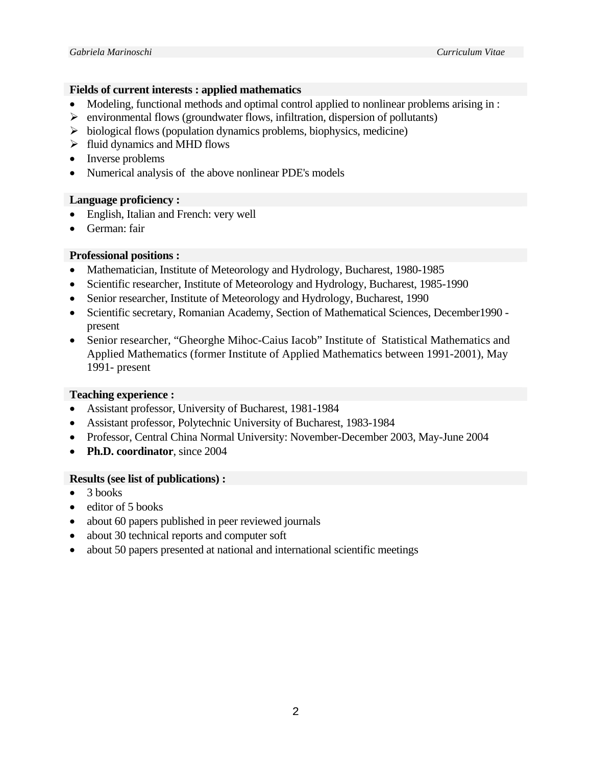# **Fields of current interests : applied mathematics**

- Modeling, functional methods and optimal control applied to nonlinear problems arising in :
- $\triangleright$  environmental flows (groundwater flows, infiltration, dispersion of pollutants)
- $\triangleright$  biological flows (population dynamics problems, biophysics, medicine)
- $\triangleright$  fluid dynamics and MHD flows
- Inverse problems
- Numerical analysis of the above nonlinear PDE's models

# **Language proficiency :**

- English, Italian and French: very well
- German: fair

# **Professional positions :**

- Mathematician, Institute of Meteorology and Hydrology, Bucharest, 1980-1985
- Scientific researcher, Institute of Meteorology and Hydrology, Bucharest, 1985-1990
- Senior researcher, Institute of Meteorology and Hydrology, Bucharest, 1990
- Scientific secretary, Romanian Academy, Section of Mathematical Sciences, December1990 present
- Senior researcher, "Gheorghe Mihoc-Caius Iacob" Institute of Statistical Mathematics and Applied Mathematics (former Institute of Applied Mathematics between 1991-2001), May 1991- present

# **Teaching experience :**

- Assistant professor, University of Bucharest, 1981-1984
- Assistant professor, Polytechnic University of Bucharest, 1983-1984
- Professor, Central China Normal University: November-December 2003, May-June 2004
- **Ph.D. coordinator**, since 2004

# **Results (see list of publications) :**

- $\bullet$  3 books
- editor of 5 books
- about 60 papers published in peer reviewed journals
- about 30 technical reports and computer soft
- about 50 papers presented at national and international scientific meetings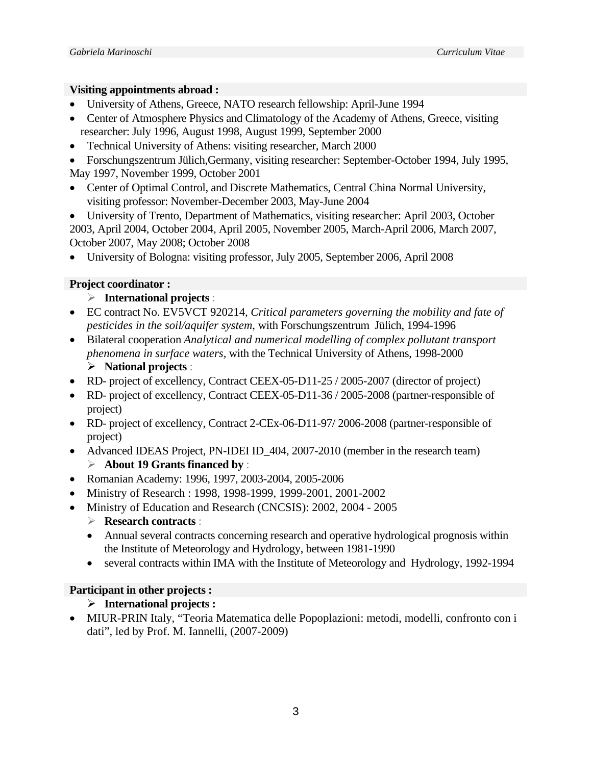### **Visiting appointments abroad :**

- University of Athens, Greece, NATO research fellowship: April-June 1994
- Center of Atmosphere Physics and Climatology of the Academy of Athens, Greece, visiting researcher: July 1996, August 1998, August 1999, September 2000
- Technical University of Athens: visiting researcher, March 2000
- Forschungszentrum Jülich, Germany, visiting researcher: September-October 1994, July 1995, May 1997, November 1999, October 2001
- Center of Optimal Control, and Discrete Mathematics, Central China Normal University, visiting professor: November-December 2003, May-June 2004
- University of Trento, Department of Mathematics, visiting researcher: April 2003, October 2003, April 2004, October 2004, April 2005, November 2005, March-April 2006, March 2007, October 2007, May 2008; October 2008
- University of Bologna: visiting professor, July 2005, September 2006, April 2008

# **Project coordinator :**

- ¾ **International projects** :
- EC contract No. EV5VCT 920214*, Critical parameters governing the mobility and fate of pesticides in the soil/aquifer system*, with Forschungszentrum Jülich, 1994-1996
- Bilateral cooperation *Analytical and numerical modelling of complex pollutant transport phenomena in surface waters,* with the Technical University of Athens, 1998-2000
	- ¾ **National projects** :
- RD- project of excellency, Contract CEEX-05-D11-25 / 2005-2007 (director of project)
- RD- project of excellency, Contract CEEX-05-D11-36 / 2005-2008 (partner-responsible of project)
- RD- project of excellency, Contract 2-CEx-06-D11-97/ 2006-2008 (partner-responsible of project)
- Advanced IDEAS Project, PN-IDEI ID\_404, 2007-2010 (member in the research team) ¾ **About 19 Grants financed by** :
- Romanian Academy: 1996, 1997, 2003-2004, 2005-2006
- Ministry of Research : 1998, 1998-1999, 1999-2001, 2001-2002
	- Ministry of Education and Research (CNCSIS): 2002, 2004 2005
		- ¾ **Research contracts** :
		- Annual several contracts concerning research and operative hydrological prognosis within the Institute of Meteorology and Hydrology, between 1981-1990
		- several contracts within IMA with the Institute of Meteorology and Hydrology, 1992-1994

# **Participant in other projects :**

# ¾ **International projects :**

• MIUR-PRIN Italy, "Teoria Matematica delle Popoplazioni: metodi, modelli, confronto con i dati", led by Prof. M. Iannelli, (2007-2009)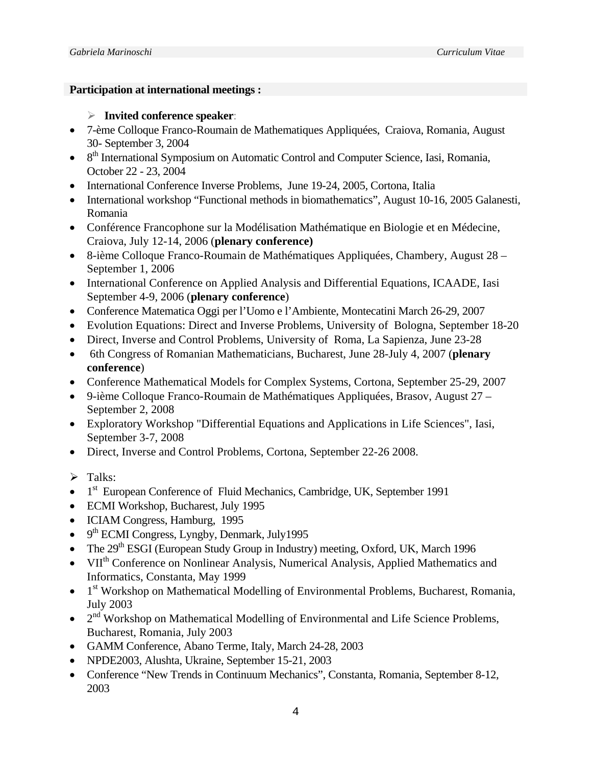### **Participation at international meetings :**

# ¾ **Invited conference speaker**:

- 7-ème Colloque Franco-Roumain de Mathematiques Appliquées, Craiova, Romania, August 30- September 3, 2004
- 8<sup>th</sup> International Symposium on Automatic Control and Computer Science, Iasi, Romania, October 22 - 23, 2004
- International Conference Inverse Problems, June 19-24, 2005, Cortona, Italia
- International workshop "Functional methods in biomathematics", August 10-16, 2005 Galanesti, Romania
- Conférence Francophone sur la Modélisation Mathématique en Biologie et en Médecine, Craiova, July 12-14, 2006 (**plenary conference)**
- 8-ième Colloque Franco-Roumain de Mathématiques Appliquées, Chambery, August 28 September 1, 2006
- International Conference on Applied Analysis and Differential Equations, ICAADE, Iasi September 4-9, 2006 (**plenary conference**)
- Conference Matematica Oggi per l'Uomo e l'Ambiente, Montecatini March 26-29, 2007
- Evolution Equations: Direct and Inverse Problems, University of Bologna, September 18-20
- Direct, Inverse and Control Problems, University of Roma, La Sapienza, June 23-28
- 6th Congress of Romanian Mathematicians, Bucharest, June 28-July 4, 2007 (**plenary conference**)
- Conference Mathematical Models for Complex Systems, Cortona, September 25-29, 2007
- 9-ième Colloque Franco-Roumain de Mathématiques Appliquées, Brasov, August 27 September 2, 2008
- Exploratory Workshop "Differential Equations and Applications in Life Sciences", Iasi, September 3-7, 2008
- Direct, Inverse and Control Problems, Cortona, September 22-26 2008.
- $\triangleright$  Talks:
- $\bullet$  1<sup>st</sup> European Conference of Fluid Mechanics, Cambridge, UK, September 1991
- ECMI Workshop, Bucharest, July 1995
- ICIAM Congress, Hamburg, 1995
- $\bullet$  9<sup>th</sup> ECMI Congress, Lyngby, Denmark, July1995
- The  $29<sup>th</sup> ESGI$  (European Study Group in Industry) meeting, Oxford, UK, March 1996
- VII<sup>th</sup> Conference on Nonlinear Analysis, Numerical Analysis, Applied Mathematics and Informatics, Constanta, May 1999
- $\bullet$  1<sup>st</sup> Workshop on Mathematical Modelling of Environmental Problems, Bucharest, Romania, July 2003
- $2<sup>nd</sup> Workshop on Mathematical Modeling of Environmental and Life Science Problems,$ Bucharest, Romania, July 2003
- GAMM Conference, Abano Terme, Italy, March 24-28, 2003
- NPDE2003, Alushta, Ukraine, September 15-21, 2003
- Conference "New Trends in Continuum Mechanics", Constanta, Romania, September 8-12, 2003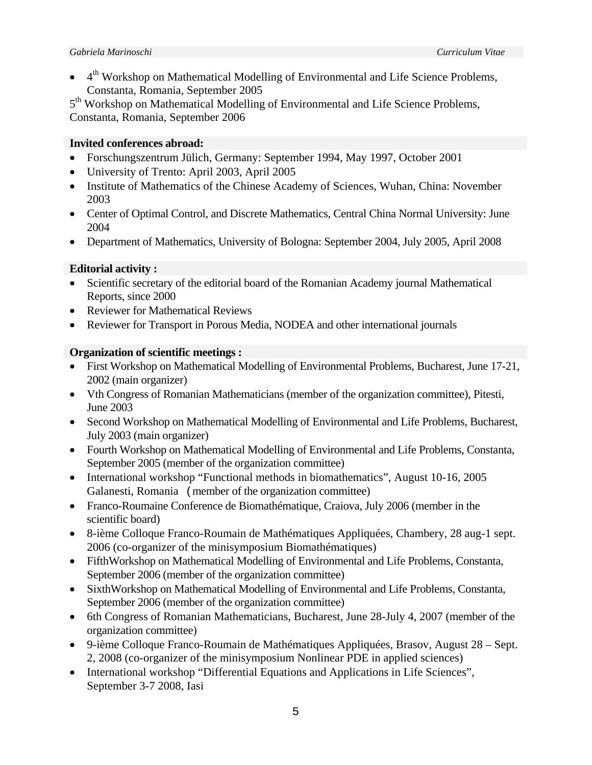4<sup>th</sup> Workshop on Mathematical Modelling of Environmental and Life Science Problems, Constanta, Romania, September 2005

5<sup>th</sup> Workshop on Mathematical Modelling of Environmental and Life Science Problems, Constanta, Romania, September 2006

# **Invited conferences abroad:**

- Forschungszentrum Jülich, Germany: September 1994, May 1997, October 2001
- University of Trento: April 2003, April 2005
- Institute of Mathematics of the Chinese Academy of Sciences, Wuhan, China: November 2003
- Center of Optimal Control, and Discrete Mathematics, Central China Normal University: June 2004
- Department of Mathematics, University of Bologna: September 2004, July 2005, April 2008

# **Editorial activity :**

- Scientific secretary of the editorial board of the Romanian Academy journal Mathematical Reports, since 2000
- Reviewer for Mathematical Reviews
- Reviewer for Transport in Porous Media, NODEA and other international journals

# **Organization of scientific meetings :**

- First Workshop on Mathematical Modelling of Environmental Problems, Bucharest, June 17-21, 2002 (main organizer)
- Vth Congress of Romanian Mathematicians (member of the organization committee), Pitesti, June 2003
- Second Workshop on Mathematical Modelling of Environmental and Life Problems, Bucharest, July 2003 (main organizer)
- Fourth Workshop on Mathematical Modelling of Environmental and Life Problems, Constanta, September 2005 (member of the organization committee)
- International workshop "Functional methods in biomathematics", August 10-16, 2005 Galanesti, Romania (member of the organization committee)
- Franco-Roumaine Conference de Biomathématique, Craiova, July 2006 (member in the scientific board)
- 8-ième Colloque Franco-Roumain de Mathématiques Appliquées, Chambery, 28 aug-1 sept. 2006 (co-organizer of the minisymposium Biomathématiques)
- FifthWorkshop on Mathematical Modelling of Environmental and Life Problems, Constanta, September 2006 (member of the organization committee)
- SixthWorkshop on Mathematical Modelling of Environmental and Life Problems, Constanta, September 2006 (member of the organization committee)
- 6th Congress of Romanian Mathematicians, Bucharest, June 28-July 4, 2007 (member of the organization committee)
- 9-ième Colloque Franco-Roumain de Mathématiques Appliquées, Brasov, August 28 Sept. 2, 2008 (co-organizer of the minisymposium Nonlinear PDE in applied sciences)
- International workshop "Differential Equations and Applications in Life Sciences", September 3-7 2008, Iasi